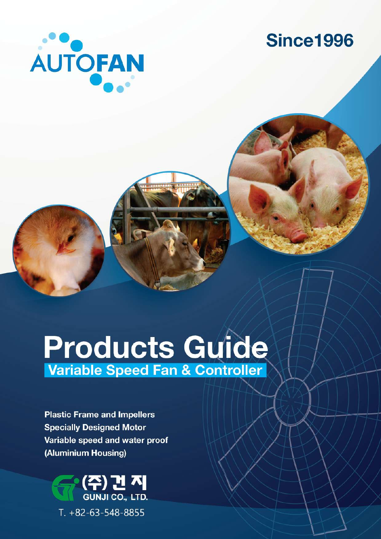

## **Since1996**

# Products Guide **Variable Speed Fan & Controller**

**Plastic Frame and Impellers Specially Designed Motor** Variable speed and water proof (Aluminium Housing)

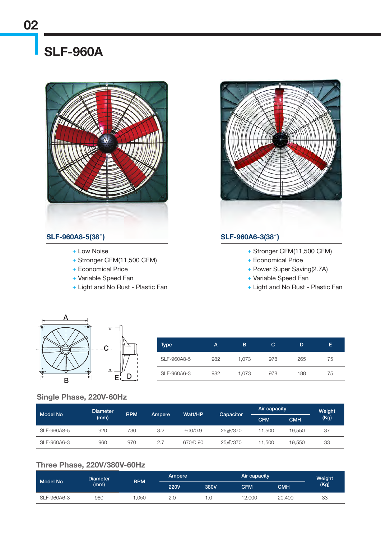### SLF-960A



#### SLF-960A8-5(38″) SLF-960A6-3(38″)

- + Low Noise
- + Stronger CFM(11,500 CFM)
- + Economical Price
- + Variable Speed Fan
- + Light and No Rust Plastic Fan



- + Stronger CFM(11,500 CFM)
- + Economical Price
- + Power Super Saving(2.7A)
- + Variable Speed Fan
- + Light and No Rust Plastic Fan



| Type        | А   | в     | С   | D   | E. |
|-------------|-----|-------|-----|-----|----|
| SLF-960A8-5 | 982 | 1.073 | 978 | 265 | 75 |
| SLF-960A6-3 | 982 | 1.073 | 978 | 188 | 75 |

#### Single Phase, 220V-60Hz

| Model No    | <b>Diameter</b><br>(mm) | <b>RPM</b> | Ampere | Watt/HP  | Capacitor | Air capacity             |        | Weight<br>(Kg) |
|-------------|-------------------------|------------|--------|----------|-----------|--------------------------|--------|----------------|
|             |                         |            |        |          |           | <b>CMH</b><br><b>CFM</b> |        |                |
| SLF-960A8-5 | 920                     | 730        | 3.2    | 600/0.9  | 25 uF/370 | 11.500                   | 19.550 | 37             |
| SLF-960A6-3 | 960                     | 970        | 2.7    | 670/0.90 | 25uF/370  | 11.500                   | 19,550 | 33             |

#### Three Phase, 220V/380V-60Hz

| <b>Model No</b> | <b>Diameter</b> | <b>RPM</b> | Ampere      | Air capacity |            |        | Weight |
|-----------------|-----------------|------------|-------------|--------------|------------|--------|--------|
|                 | (mm)            |            | <b>220V</b> | 380V         | <b>CFM</b> | смн    | (Kg)   |
| SLF-960A6-3     | 960             | .050       | 2.C         |              | 12,000     | 20,400 | 33     |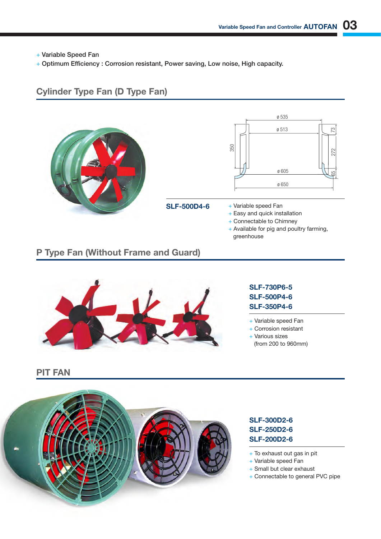+ Variable Speed Fan

+ Optimum Efficiency : Corrosion resistant, Power saving, Low noise, High capacity.

#### Cylinder Type Fan (D Type Fan)





#### SLF-500D4-6

- + Variable speed Fan
- + Easy and quick installation
- + Connectable to Chimney
- + Available for pig and poultry farming, greenhouse

#### P Type Fan (Without Frame and Guard)



#### SLF-730P6-5 SLF-500P4-6 SLF-350P4-6

- + Variable speed Fan
- + Corrosion resistant
- + Various sizes
- (from 200 to 960mm)

PIT FAN



#### SLF-300D2-6 SLF-250D2-6 SLF-200D2-6

- + To exhaust out gas in pit
- + Variable speed Fan
- + Small but clear exhaust
- + Connectable to general PVC pipe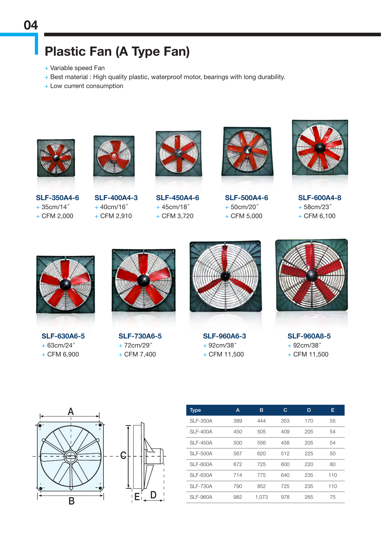### Plastic Fan (A Type Fan)

- + Variable speed Fan
- + Best material : High quality plastic, waterproof motor, bearings with long durability.
- + Low current consumption





SLF-350A4-6 + 35cm/14″ + CFM 2,000

SLF-400A4-3 + 40cm/16″  $+$  CFM 2,910



SLF-450A4-6 + 45cm/18″ + CFM 3,720



SLF-500A4-6 + 50cm/20″ + CFM 5,000



SLF-600A4-8 + 58cm/23″  $+$  CFM 6,100



SLF-630A6-5 + 63cm/24″  $+$  CFM 6,900



SLF-730A6-5 + 72cm/29″  $+$  CFM 7,400



SLF-960A6-3 + 92cm/38″  $+$  CFM 11,500



SLF-960A8-5 + 92cm/38″  $+$  CFM 11,500



| Type            | А   | в     | С   | D   | E   |
|-----------------|-----|-------|-----|-----|-----|
| <b>SLF-350A</b> | 389 | 444   | 353 | 170 | 55  |
| <b>SLF-400A</b> | 450 | 505   | 409 | 205 | 54  |
| <b>SLF-450A</b> | 500 | 556   | 458 | 205 | 54  |
| <b>SLF-500A</b> | 567 | 620   | 512 | 225 | 50  |
| SLF-600A        | 672 | 725   | 600 | 220 | 80  |
| <b>SLF-630A</b> | 714 | 775   | 640 | 235 | 110 |
| <b>SLF-730A</b> | 790 | 852   | 725 | 235 | 110 |
| <b>SLF-960A</b> | 982 | 1.073 | 978 | 265 | 75  |
|                 |     |       |     |     |     |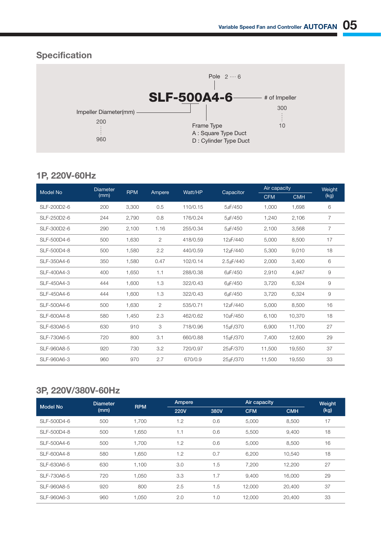### **Specification**



#### 1P, 220V-60Hz

| Model No    | <b>Diameter</b> | <b>RPM</b> |        |          |                        |            | Air capacity |      |
|-------------|-----------------|------------|--------|----------|------------------------|------------|--------------|------|
|             | (mm)            |            | Ampere | Watt/HP  | Capacitor              | <b>CFM</b> | <b>CMH</b>   | (kg) |
| SLF-200D2-6 | 200             | 3,300      | 0.5    | 110/0.15 | 5uF/450                | 1,000      | 1,698        | 6    |
| SLF-250D2-6 | 244             | 2,790      | 0.8    | 176/0.24 | $5\nu$ F/450           | 1,240      | 2,106        | 7    |
| SLF-300D2-6 | 290             | 2,100      | 1.16   | 255/0.34 | 5uF/450                | 2,100      | 3,568        | 7    |
| SLF-500D4-6 | 500             | 1,630      | 2      | 418/0.59 | 12 uF/440              | 5,000      | 8,500        | 17   |
| SLF-500D4-8 | 500             | 1,580      | 2.2    | 440/0.59 | 12µF/440               | 5,300      | 9,010        | 18   |
| SLF-350A4-6 | 350             | 1,580      | 0.47   | 102/0.14 | $2.5 \text{µF}/440$    | 2,000      | 3,400        | 6    |
| SLF-400A4-3 | 400             | 1,650      | 1.1    | 288/0.38 | 6µF/450                | 2,910      | 4,947        | 9    |
| SLF-450A4-3 | 444             | 1,600      | 1.3    | 322/0.43 | 6uF/450                | 3,720      | 6,324        | 9    |
| SLF-450A4-6 | 444             | 1,600      | 1.3    | 322/0.43 | 6µF/450                | 3,720      | 6,324        | 9    |
| SLF-500A4-6 | 500             | 1,630      | 2      | 535/0.71 | 12µF/440               | 5,000      | 8,500        | 16   |
| SLF-600A4-8 | 580             | 1,450      | 2.3    | 462/0.62 | 10 <sub>L/F</sub> /450 | 6,100      | 10,370       | 18   |
| SLF-630A6-5 | 630             | 910        | 3      | 718/0.96 | 15µF/370               | 6,900      | 11,700       | 27   |
| SLF-730A6-5 | 720             | 800        | 3.1    | 660/0.88 | 15µF/370               | 7,400      | 12,600       | 29   |
| SLF-960A8-5 | 920             | 730        | 3.2    | 720/0.97 | 25 LF/370              | 11,500     | 19,550       | 37   |
| SLF-960A6-3 | 960             | 970        | 2.7    | 670/0.9  | 25µF/370               | 11,500     | 19,550       | 33   |

#### 3P, 220V/380V-60Hz

| <b>Model No</b> | <b>Diameter</b> | <b>RPM</b> | Ampere      |      |            | Air capacity |      |
|-----------------|-----------------|------------|-------------|------|------------|--------------|------|
|                 | (mm)            |            | <b>220V</b> | 380V | <b>CFM</b> | <b>CMH</b>   | (kg) |
| SLF-500D4-6     | 500             | 1,700      | 1.2         | 0.6  | 5,000      | 8,500        | 17   |
| SLF-500D4-8     | 500             | 1.650      | 1.1         | 0.6  | 5,500      | 9,400        | 18   |
| SLF-500A4-6     | 500             | 1.700      | 1.2         | 0.6  | 5.000      | 8.500        | 16   |
| SLF-600A4-8     | 580             | 1,650      | 1.2         | 0.7  | 6,200      | 10,540       | 18   |
| SLF-630A6-5     | 630             | 1,100      | 3.0         | 1.5  | 7,200      | 12,200       | 27   |
| SLF-730A6-5     | 720             | 1.050      | 3.3         | 1.7  | 9,400      | 16,000       | 29   |
| SLF-960A8-5     | 920             | 800        | 2.5         | 1.5  | 12,000     | 20,400       | 37   |
| SLF-960A6-3     | 960             | 1.050      | 2.0         | 1.0  | 12.000     | 20,400       | 33   |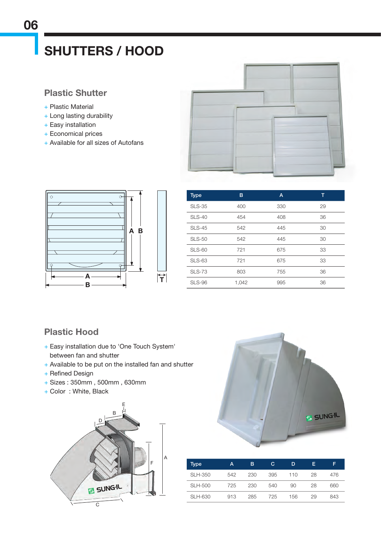### SHUTTERS / HOOD

#### Plastic Shutter

- + Plastic Material
- + Long lasting durability
- + Easy installation
- + Economical prices
- + Available for all sizes of Autofans





| <b>Type</b>   | в     | A   | т  |
|---------------|-------|-----|----|
| <b>SLS-35</b> | 400   | 330 | 29 |
| $SLS-40$      | 454   | 408 | 36 |
| <b>SLS-45</b> | 542   | 445 | 30 |
| <b>SLS-50</b> | 542   | 445 | 30 |
| <b>SLS-60</b> | 721   | 675 | 33 |
| <b>SLS-63</b> | 721   | 675 | 33 |
| <b>SLS-73</b> | 803   | 755 | 36 |
| <b>SLS-96</b> | 1,042 | 995 | 36 |

#### Plastic Hood

- + Easy installation due to 'One Touch System' between fan and shutter
- + Available to be put on the installed fan and shutter
- + Refined Design
- + Sizes : 350mm , 500mm , 630mm
- + Color : White, Black





| Type           | А   | в   | C   | D   | Е  | F   |
|----------------|-----|-----|-----|-----|----|-----|
| SLH-350        | 542 | 230 | 395 | 110 | 28 | 476 |
| <b>SLH-500</b> | 725 | 230 | 540 | 90  | 28 | 660 |
| SLH-630        | 913 | 285 | 725 | 156 | 29 | 843 |